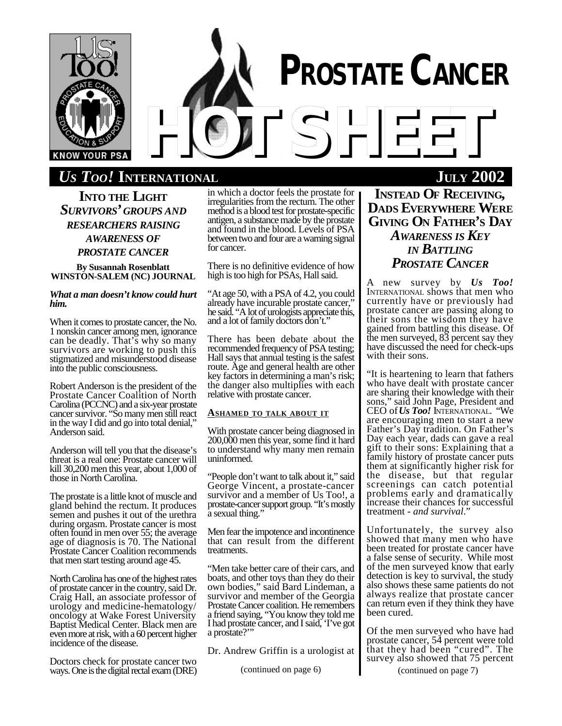

# *US TOO!* **INTERNATIONAL JULY 2002**

**INTO THE LIGHT** *SURVIVORS' GROUPS AND RESEARCHERS RAISING AWARENESS OF PROSTATE CANCER*

**By Susannah Rosenblatt WINSTON-SALEM (NC) JOURNAL**

## *What a man doesn't know could hurt him.*

When it comes to prostate cancer, the No. 1 nonskin cancer among men, ignorance can be deadly. That's why so many survivors are working to push this stigmatized and misunderstood disease into the public consciousness.

Robert Anderson is the president of the Prostate Cancer Coalition of North Carolina (PCCNC) and a six-year prostate cancer survivor. "So many men still react in the way I did and go into total denial," Anderson said.

Anderson will tell you that the disease's threat is a real one: Prostate cancer will kill 30,200 men this year, about 1,000 of those in North Carolina.

The prostate is a little knot of muscle and gland behind the rectum. It produces semen and pushes it out of the urethra during orgasm. Prostate cancer is most often found in men over 55; the average age of diagnosis is 70. The National Prostate Cancer Coalition recommends that men start testing around age 45.

North Carolina has one of the highest rates of prostate cancer in the country, said Dr. Craig Hall, an associate professor of urology and medicine-hematology/ oncology at Wake Forest University Baptist Medical Center. Black men are even more at risk, with a 60 percent higher incidence of the disease.

Doctors check for prostate cancer two ways. One is the digital rectal exam (DRE) (continued on page 6)

in which a doctor feels the prostate for irregularities from the rectum. The other method is a blood test for prostate-specific antigen, a substance made by the prostate and found in the blood. Levels of PSA between two and four are a warning signal for cancer.

There is no definitive evidence of how high is too high for PSAs, Hall said.

"At age 50, with a PSA of 4.2, you could already have incurable prostate cancer," he said. "A lot of urologists appreciate this, and a lot of family doctors don't."

There has been debate about the recommended frequency of PSA testing; Hall says that annual testing is the safest route. Age and general health are other key factors in determining a man's risk; the danger also multiplies with each relative with prostate cancer.

## **ASHAMED TO TALK ABOUT IT**

With prostate cancer being diagnosed in 200,000 men this year, some find it hard to understand why many men remain uninformed.

"People don't want to talk about it," said George Vincent, a prostate-cancer survivor and a member of Us Too!, a prostate-cancer support group. "It's mostly a sexual thing."

Men fear the impotence and incontinence that can result from the different treatments.

"Men take better care of their cars, and boats, and other toys than they do their own bodies," said Bard Lindeman, a survivor and member of the Georgia Prostate Cancer coalition. He remembers a friend saying, "You know they told me I had prostate cancer, and I said, 'I've got a prostate?"

Dr. Andrew Griffin is a urologist at

# **INSTEAD OF RECEIVING, DADS EVERYWHERE WERE GIVING ON FATHER'S DAY** *AWARENESS IS KEY IN BATTLING PROSTATE CANCER*

A new survey by *Us Too!* INTERNATIONAL shows that men who currently have or previously had prostate cancer are passing along to their sons the wisdom they have gained from battling this disease. Of the men surveyed, 83 percent say they have discussed the need for check-ups with their sons.

"It is heartening to learn that fathers who have dealt with prostate cancer are sharing their knowledge with their sons," said John Page, President and CEO of *Us Too!* INTERNATIONAL. "We are encouraging men to start a new Father's Day tradition. On Father's Day each year, dads can gave a real gift to their sons: Explaining that a family history of prostate cancer puts them at significantly higher risk for the disease, but that regular screenings can catch potential problems early and dramatically increase their chances for successful treatment - *and survival*."

Unfortunately, the survey also showed that many men who have been treated for prostate cancer have a false sense of security. While most of the men surveyed know that early detection is key to survival, the study also shows these same patients do not always realize that prostate cancer can return even if they think they have been cured.

Of the men surveyed who have had prostate cancer, 54 percent were told that they had been "cured". The survey also showed that 75 percent

(continued on page 7)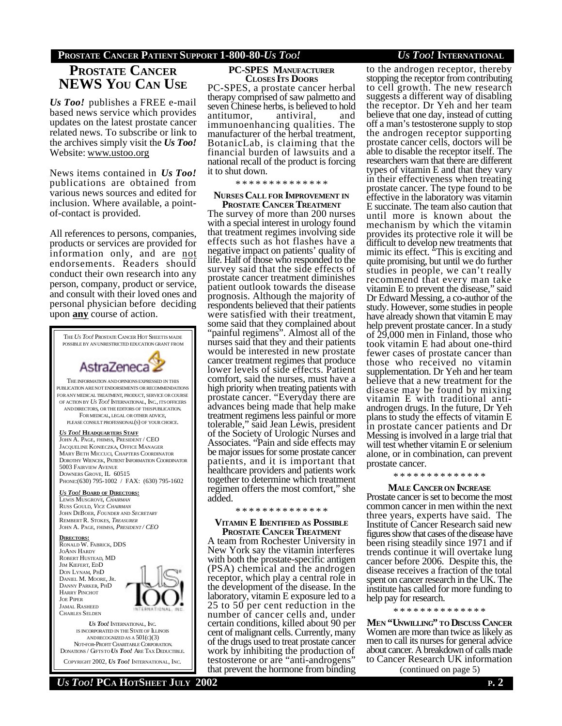# **PROSTATE CANCER PATIENT SUPPORT 1-800-80-***US TOO! US TOO!* **INTERNATIONAL**

# **PROSTATE CANCER NEWS YOU CAN USE**

*Us Too!* publishes a FREE e-mail based news service which provides updates on the latest prostate cancer related news. To subscribe or link to the archives simply visit the *Us Too!* Website: www.ustoo.org

News items contained in *Us Too!* publications are obtained from various news sources and edited for inclusion. Where available, a pointof-contact is provided.

All references to persons, companies, products or services are provided for information only, and are not endorsements. Readers should conduct their own research into any person, company, product or service, and consult with their loved ones and personal physician before deciding upon **any** course of action.



# **PC-SPES MANUFACTURER CLOSES ITS DOORS**

PC-SPES, a prostate cancer herbal therapy comprised of saw palmetto and seven Chinese herbs, is believed to hold<br>antitumor, antiviral, and antitumor, antiviral, and immunoenhancing qualities. The manufacturer of the herbal treatment, BotanicLab, is claiming that the financial burden of lawsuits and a national recall of the product is forcing it to shut down.

\* \* \* \* \* \* \* \* \* \* \* \* \*

#### **NURSES CALL FOR IMPROVEMENT IN PROSTATE CANCER TREATMENT**

The survey of more than 200 nurses with a special interest in urology found that treatment regimes involving side effects such as hot flashes have a negative impact on patients' quality of life. Half of those who responded to the survey said that the side effects of prostate cancer treatment diminishes patient outlook towards the disease prognosis. Although the majority of respondents believed that their patients were satisfied with their treatment, some said that they complained about "painful regimens". Almost all of the nurses said that they and their patients would be interested in new prostate cancer treatment regimes that produce lower levels of side effects. Patient comfort, said the nurses, must have a high priority when treating patients with prostate cancer. "Everyday there are advances being made that help make treatment regimens less painful or more tolerable," said Jean Lewis, president of the Society of Urologic Nurses and Associates. "Pain and side effects may be major issues for some prostate cancer patients, and it is important that healthcare providers and patients work together to determine which treatment regimen offers the most comfort," she added.

#### \* \* \* \* \* \* \* \* \* \* \* \* \* \*

#### **VITAMIN E IDENTIFIED AS POSSIBLE PROSTATE CANCER TREATMENT**

A team from Rochester University in New York say the vitamin interferes with both the prostate-specific antigen (PSA) chemical and the androgen receptor, which play a central role in the development of the disease. In the laboratory, vitamin E exposure led to a 25 to 50 per cent reduction in the number of cancer cells and, under certain conditions, killed about 90 per cent of malignant cells. Currently, many of the drugs used to treat prostate cancer work by inhibiting the production of testosterone or are "anti-androgens" that prevent the hormone from binding

to the androgen receptor, thereby stopping the receptor from contributing to cell growth. The new research suggests a different way of disabling the receptor. Dr Yeh and her team believe that one day, instead of cutting off a man's testosterone supply to stop the androgen receptor supporting prostate cancer cells, doctors will be able to disable the receptor itself. The researchers warn that there are different types of vitamin E and that they vary in their effectiveness when treating prostate cancer. The type found to be effective in the laboratory was vitamin E succinate. The team also caution that until more is known about the mechanism by which the vitamin provides its protective role it will be difficult to develop new treatments that mimic its effect. "This is exciting and quite promising, but until we do further studies in people, we can't really recommend that every man take vitamin E to prevent the disease," said Dr Edward Messing, a co-author of the study. However, some studies in people have already shown that vitamin E may help prevent prostate cancer. In a study of 29,000 men in Finland, those who took vitamin E had about one-third fewer cases of prostate cancer than those who received no vitamin supplementation. Dr Yeh and her team believe that a new treatment for the disease may be found by mixing vitamin E with traditional antiandrogen drugs. In the future, Dr Yeh plans to study the effects of vitamin E in prostate cancer patients and Dr Messing is involved in a large trial that will test whether vitamin E or selenium alone, or in combination, can prevent prostate cancer.

\* \* \* \* \* \* \* \* \* \* \* \* \* \*

#### **MALE CANCER ON INCREASE**

Prostate cancer is set to become the most common cancer in men within the next three years, experts have said. The Institute of Cancer Research said new figures show that cases of the disease have been rising steadily since 1971 and if trends continue it will overtake lung cancer before 2006. Despite this, the disease receives a fraction of the total spent on cancer research in the UK. The institute has called for more funding to help pay for research.

\* \* \* \* \* \* \* \* \* \* \* \* \* \*

**MEN "UNWILLING" TO DISCUSS CANCER** Women are more than twice as likely as men to call its nurses for general advice about cancer. A breakdown of calls made to Cancer Research UK information

(continued on page 5)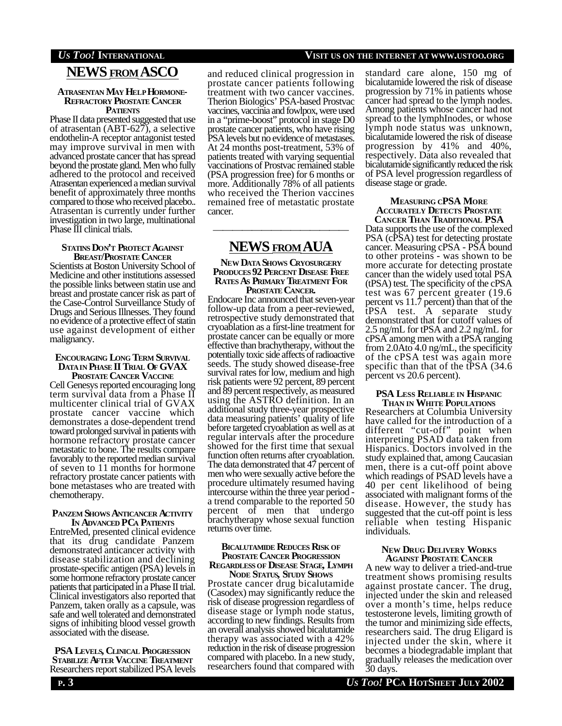# **NEWS FROMASCO**

#### **ATRASENTAN MAY HELP HORMONE-REFRACTORY PROSTATE CANCER PATIENTS**

Phase II data presented suggested that use of atrasentan (ABT-627), a selective endothelin-A receptor antagonist tested may improve survival in men with advanced prostate cancer that has spread beyond the prostate gland. Men who fully adhered to the protocol and received Atrasentan experienced a median survival benefit of approximately three months compared to those who received placebo.. Atrasentan is currently under further investigation in two large, multinational Phase III clinical trials.

#### **STATINS DON'T PROTECT AGAINST BREAST/PROSTATE CANCER**

Scientists at Boston University School of Medicine and other institutions assessed the possible links between statin use and breast and prostate cancer risk as part of the Case-Control Surveillance Study of Drugs and Serious Illnesses. They found no evidence of a protective effect of statin use against development of either malignancy.

# **ENCOURAGING LONG TERM SURVIVAL DATAIN PHASE II TRIAL OF GVAX**

**PROSTATE CANCER VACCINE** Cell Genesys reported encouraging long term survival data from a Phase II multicenter clinical trial of GVAX prostate cancer vaccine which demonstrates a dose-dependent trend toward prolonged survival in patients with hormone refractory prostate cancer metastatic to bone. The results compare favorably to the reported median survival of seven to 11 months for hormone refractory prostate cancer patients with bone metastases who are treated with chemotherapy.

#### **PANZEM SHOWS ANTICANCER ACTIVITY IN ADVANCED PCA PATIENTS**

EntreMed, presented clinical evidence that its drug candidate Panzem demonstrated anticancer activity with disease stabilization and declining prostate-specific antigen (PSA) levels in some hormone refractory prostate cancer patients that participated in a Phase II trial. Clinical investigators also reported that Panzem, taken orally as a capsule, was safe and well tolerated and demonstrated signs of inhibiting blood vessel growth associated with the disease.

**PSA LEVELS, CLINICAL PROGRESSION STABILIZE AFTER VACCINE TREATMENT** Researchers report stabilized PSA levels

and reduced clinical progression in prostate cancer patients following treatment with two cancer vaccines. Therion Biologics' PSA-based Prostvac vaccines, vaccinia and fowlpox, were used in a "prime-boost" protocol in stage D0 prostate cancer patients, who have rising PSA levels but no evidence of metastases. At 24 months post-treatment, 53% of patients treated with varying sequential vaccinations of Prostvac remained stable (PSA progression free) for 6 months or more. Additionally 78% of all patients who received the Therion vaccines remained free of metastatic prostate cancer.

# —————————————— **NEWS FROMAUA**

#### **NEW DATA SHOWS CRYOSURGERY PRODUCES 92 PERCENT DISEASE FREE RATES AS PRIMARY TREATMENT FOR PROSTATE CANCER.**

Endocare Inc announced that seven-year follow-up data from a peer-reviewed, retrospective study demonstrated that cryoablation as a first-line treatment for prostate cancer can be equally or more effective than brachytherapy, without the potentially toxic side affects of radioactive seeds. The study showed disease-free survival rates for low, medium and high risk patients were 92 percent, 89 percent and 89 percent respectively, as measured using the ASTRO definition. In an additional study three-year prospective data measuring patients' quality of life before targeted cryoablation as well as at regular intervals after the procedure showed for the first time that sexual function often returns after cryoablation. The data demonstrated that 47 percent of men who were sexually active before the procedure ultimately resumed having intercourse within the three year period a trend comparable to the reported 50 percent of men that undergo brachytherapy whose sexual function returns over time.

## **BICALUTAMIDE REDUCES RISK OF PROSTATE CANCER PROGRESSION REGARDLESS OF DISEASE STAGE, LYMPH**

**NODE STATUS, STUDY SHOWS** Prostate cancer drug bicalutamide (Casodex) may significantly reduce the risk of disease progression regardless of disease stage or lymph node status, according to new findings. Results from an overall analysis showed bicalutamide therapy was associated with a 42% reduction in the risk of disease progression compared with placebo. In a new study, researchers found that compared with

# *US TOO!* **INTERNATIONAL VISIT US ON THE INTERNET AT WWW.USTOO.ORG**

standard care alone, 150 mg of bicalutamide lowered the risk of disease progression by 71% in patients whose cancer had spread to the lymph nodes. Among patients whose cancer had not spread to the lymphInodes, or whose lymph node status was unknown, bicalutamide lowered the risk of disease progression by 41% and 40%, respectively. Data also revealed that bicalutamide significantly reduced the risk of PSA level progression regardless of disease stage or grade.

# **MEASURING CPSA MORE ACCURATELY DETECTS PROSTATE**

**CANCER THAN TRADITIONAL PSA** Data supports the use of the complexed PSA (cPSA) test for detecting prostate cancer. Measuring cPSA - PSA bound to other proteins - was shown to be more accurate for detecting prostate cancer than the widely used total PSA (tPSA) test. The specificity of the cPSA test was 67 percent greater (19.6 percent vs 11.7 percent) than that of the tPSA test. A separate study demonstrated that for cutoff values of 2.5 ng/mL for tPSA and 2.2 ng/mL for cPSA among men with a tPSA ranging from 2.0Ato 4.0 ng/mL, the specificity of the cPSA test was again more specific than that of the tPSA  $(34.6)$ percent vs 20.6 percent).

#### **PSA LESS RELIABLE IN HISPANIC THAN IN WHITE POPULATIONS**

Researchers at Columbia University have called for the introduction of a different "cut-off" point when interpreting PSAD data taken from Hispanics. Doctors involved in the study explained that, among Caucasian men, there is a cut-off point above which readings of PSAD levels have a 40 per cent likelihood of being associated with malignant forms of the disease. However, the study has suggested that the cut-off point is less reliable when testing Hispanic individuals.

#### **NEW DRUG DELIVERY WORKS AGAINST PROSTATE CANCER**

A new way to deliver a tried-and-true treatment shows promising results against prostate cancer. The drug, injected under the skin and released over a month's time, helps reduce testosterone levels, limiting growth of the tumor and minimizing side effects, researchers said. The drug Eligard is injected under the skin, where it becomes a biodegradable implant that gradually releases the medication over 30 days.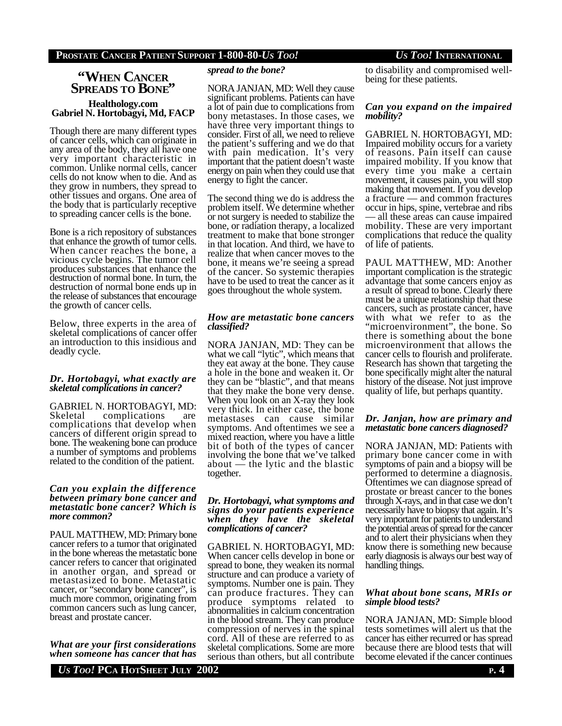# **"WHEN CANCER SPREADS TO BONE"**

### **Healthology.com Gabriel N. Hortobagyi, Md, FACP**

Though there are many different types of cancer cells, which can originate in any area of the body, they all have one very important characteristic in common. Unlike normal cells, cancer cells do not know when to die. And as they grow in numbers, they spread to other tissues and organs. One area of the body that is particularly receptive to spreading cancer cells is the bone.

Bone is a rich repository of substances that enhance the growth of tumor cells. When cancer reaches the bone, a vicious cycle begins. The tumor cell produces substances that enhance the destruction of normal bone. In turn, the destruction of normal bone ends up in the release of substances that encourage the growth of cancer cells.

Below, three experts in the area of skeletal complications of cancer offer an introduction to this insidious and deadly cycle.

#### *Dr. Hortobagyi, what exactly are skeletal complications in cancer?*

GABRIEL N. HORTOBAGYI, MD: Skeletal complications are complications that develop when cancers of different origin spread to bone. The weakening bone can produce a number of symptoms and problems related to the condition of the patient.

#### *Can you explain the difference between primary bone cancer and metastatic bone cancer? Which is more common?*

PAUL MATTHEW, MD: Primary bone cancer refers to a tumor that originated in the bone whereas the metastatic bone cancer refers to cancer that originated in another organ, and spread or metastasized to bone. Metastatic cancer, or "secondary bone cancer", is much more common, originating from common cancers such as lung cancer, breast and prostate cancer.

*What are your first considerations when someone has cancer that has*

## *spread to the bone?*

NORA JANJAN, MD: Well they cause significant problems. Patients can have a lot of pain due to complications from bony metastases. In those cases, we have three very important things to consider. First of all, we need to relieve the patient's suffering and we do that with pain medication. It's very important that the patient doesn't waste energy on pain when they could use that energy to fight the cancer.

The second thing we do is address the problem itself. We determine whether or not surgery is needed to stabilize the bone, or radiation therapy, a localized treatment to make that bone stronger in that location. And third, we have to realize that when cancer moves to the bone, it means we're seeing a spread of the cancer. So systemic therapies have to be used to treat the cancer as it goes throughout the whole system.

### *How are metastatic bone cancers classified?*

NORA JANJAN, MD: They can be what we call "lytic", which means that they eat away at the bone. They cause a hole in the bone and weaken it. Or they can be "blastic", and that means that they make the bone very dense. When you look on an X-ray they look very thick. In either case, the bone metastases can cause similar symptoms. And oftentimes we see a mixed reaction, where you have a little bit of both of the types of cancer involving the bone that we've talked about — the lytic and the blastic together.

#### *Dr. Hortobagyi, what symptoms and signs do your patients experience when they have the skeletal complications of cancer?*

GABRIEL N. HORTOBAGYI, MD: When cancer cells develop in bone or spread to bone, they weaken its normal structure and can produce a variety of symptoms. Number one is pain. They can produce fractures. They can produce symptoms related to abnormalities in calcium concentration in the blood stream. They can produce compression of nerves in the spinal cord. All of these are referred to as skeletal complications. Some are more serious than others, but all contribute

to disability and compromised wellbeing for these patients.

### *Can you expand on the impaired mobility?*

GABRIEL N. HORTOBAGYI, MD: Impaired mobility occurs for a variety of reasons. Pain itself can cause impaired mobility. If you know that every time you make a certain movement, it causes pain, you will stop making that movement. If you develop a fracture — and common fractures occur in hips, spine, vertebrae and ribs — all these areas can cause impaired mobility. These are very important complications that reduce the quality of life of patients.

PAUL MATTHEW, MD: Another important complication is the strategic advantage that some cancers enjoy as a result of spread to bone. Clearly there must be a unique relationship that these cancers, such as prostate cancer, have with what we refer to as the "microenvironment", the bone. So there is something about the bone microenvironment that allows the cancer cells to flourish and proliferate. Research has shown that targeting the bone specifically might alter the natural history of the disease. Not just improve quality of life, but perhaps quantity.

## *Dr. Janjan, how are primary and metastatic bone cancers diagnosed?*

NORA JANJAN, MD: Patients with primary bone cancer come in with symptoms of pain and a biopsy will be performed to determine a diagnosis. Oftentimes we can diagnose spread of prostate or breast cancer to the bones through X-rays, and in that case we don't necessarily have to biopsy that again. It's very important for patients to understand the potential areas of spread for the cancer and to alert their physicians when they know there is something new because early diagnosis is always our best way of handling things.

### *What about bone scans, MRIs or simple blood tests?*

NORA JANJAN, MD: Simple blood tests sometimes will alert us that the cancer has either recurred or has spread because there are blood tests that will become elevated if the cancer continues

*US TOO!* **PCA HOTSHEET JULY 2002 P. 4**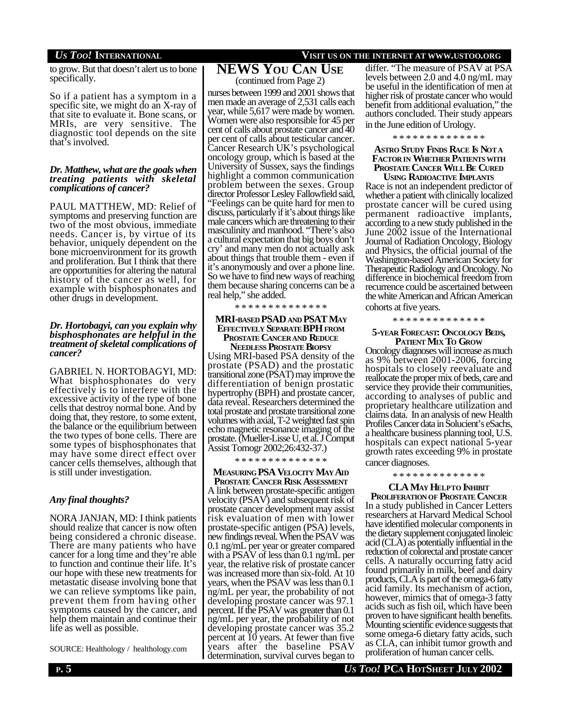to grow. But that doesn't alert us to bone specifically.

So if a patient has a symptom in a specific site, we might do an X-ray of that site to evaluate it. Bone scans, or MRIs, are very sensitive. The diagnostic tool depends on the site that's involved.

### *Dr. Matthew, what are the goals when treating patients with skeletal complications of cancer?*

PAUL MATTHEW, MD: Relief of symptoms and preserving function are two of the most obvious, immediate needs. Cancer is, by virtue of its behavior, uniquely dependent on the bone microenvironment for its growth and proliferation. But I think that there are opportunities for altering the natural history of the cancer as well, for example with bisphosphonates and other drugs in development.

### *Dr. Hortobagyi, can you explain why bisphosphonates are helpful in the treatment of skeletal complications of cancer?*

GABRIEL N. HORTOBAGYI, MD: What bisphosphonates do very effectively is to interfere with the excessive activity of the type of bone cells that destroy normal bone. And by doing that, they restore, to some extent, the balance or the equilibrium between the two types of bone cells. There are some types of bisphosphonates that may have some direct effect over cancer cells themselves, although that is still under investigation.

# *Any final thoughts?*

NORA JANJAN, MD: I think patients should realize that cancer is now often being considered a chronic disease. There are many patients who have cancer for a long time and they're able to function and continue their life. It's our hope with these new treatments for metastatic disease involving bone that we can relieve symptoms like pain, prevent them from having other symptoms caused by the cancer, and help them maintain and continue their life as well as possible.

SOURCE: Healthology / healthology.com

# *US TOO!* **INTERNATIONAL VISIT US ON THE INTERNET AT WWW.USTOO.ORG**

**NEWS YOU CAN USE** (continued from Page 2)

nurses between 1999 and 2001 shows that men made an average of 2,531 calls each year, while 5,617 were made by women. Women were also responsible for 45 per cent of calls about prostate cancer and 40 per cent of calls about testicular cancer. Cancer Research UK's psychological oncology group, which is based at the University of Sussex, says the findings highlight a common communication problem between the sexes. Group director Professor Lesley Fallowfield said, "Feelings can be quite hard for men to discuss, particularly if it's about things like male cancers which are threatening to their masculinity and manhood. "There's also a cultural expectation that big boys don't cry' and many men do not actually ask about things that trouble them - even if it's anonymously and over a phone line. So we have to find new ways of reaching them because sharing concerns can be a real help," she added.

#### \* \* \* \* \* \* \* \* \* \* \* \* \* \*

#### **MRI-BASED PSAD AND PSAT MAY EFFECTIVELY SEPARATE BPH FROM PROSTATE CANCERAND REDUCE NEEDLESS PROSTATE BIOPSY**

Using MRI-based PSA density of the prostate (PSAD) and the prostatic transitional zone (PSAT) may improve the differentiation of benign prostatic hypertrophy (BPH) and prostate cancer, data reveal. Researchers determined the total prostate and prostate transitional zone volumes with axial, T-2 weighted fast spin echo magnetic resonance imaging of the prostate. (Mueller-Lisse U, et al. J Comput Assist Tomogr 2002;26:432-37.)

\* \* \* \* \* \* \* \* \* \* \* \* \* \*

**MEASURING PSA VELOCITY MAY AID PROSTATE CANCER RISK ASSESSMENT** A link between prostate-specific antigen velocity (PSAV) and subsequent risk of prostate cancer development may assist risk evaluation of men with lower prostate-specific antigen (PSA) levels, new findings reveal. When the PSAV was 0.1 ng/mL per year or greater compared with a PSAV of less than 0.1 ng/mL per year, the relative risk of prostate cancer was increased more than six-fold. At 10 years, when the PSAV was less than 0.1 ng/mL per year, the probability of not developing prostate cancer was 97.1 percent. If the PSAV was greater than 0.1 ng/mL per year, the probability of not developing prostate cancer was 35.2 percent at 10 years. At fewer than five years after the baseline PSAV determination, survival curves began to differ. "The measure of PSAV at PSA levels between 2.0 and 4.0 ng/mL may be useful in the identification of men at higher risk of prostate cancer who would benefit from additional evaluation," the authors concluded. Their study appears in the June edition of Urology.

\* \* \* \* \* \* \* \* \* \* \* \* \* \*

# **ASTRO STUDY FINDS RACE IS NOTA FACTOR IN WHETHER PATIENTSWITH PROSTATE CANCER WILL BE CURED**

**USING RADIOACTIVE IMPLANTS** Race is not an independent predictor of whether a patient with clinically localized prostate cancer will be cured using permanent radioactive implants, according to a new study published in the June 2002 issue of the International Journal of Radiation Oncology, Biology and Physics, the official journal of the Washington-based American Society for Therapeutic Radiology and Oncology. No difference in biochemical freedom from recurrence could be ascertained between the white American and African American cohorts at five years.

\* \* \* \* \* \* \* \* \* \* \* \* \* \*

## **5-YEAR FORECAST: ONCOLOGY BEDS, PATIENT MIX TO GROW**

Oncology diagnoses will increase as much as 9% between 2001-2006, forcing hospitals to closely reevaluate and reallocate the proper mix of beds, care and service they provide their communities, according to analyses of public and proprietary healthcare utilization and claims data. In an analysis of new Health Profiles Cancer data in Solucient's eSachs, a healthcare business planning tool, U.S. hospitals can expect national 5-year growth rates exceeding 9% in prostate cancer diagnoses.

\* \* \* \* \* \* \* \* \* \* \* \* \* \*

## **CLA MAY HELPTO INHIBIT PROLIFERATIONOF PROSTATE CANCER** In a study published in Cancer Letters researchers at Harvard Medical School have identified molecular components in the dietary supplement conjugated linoleic acid (CLA) as potentially influential in the reduction of colorectal and prostate cancer cells. A naturally occurring fatty acid

found primarily in milk, beef and dairy products, CLA is part of the omega-6 fatty acid family. Its mechanism of action, however, mimics that of omega-3 fatty acids such as fish oil, which have been proven to have significant health benefits. Mounting scientific evidence suggests that some omega-6 dietary fatty acids, such as CLA, can inhibit tumor growth and proliferation of human cancer cells.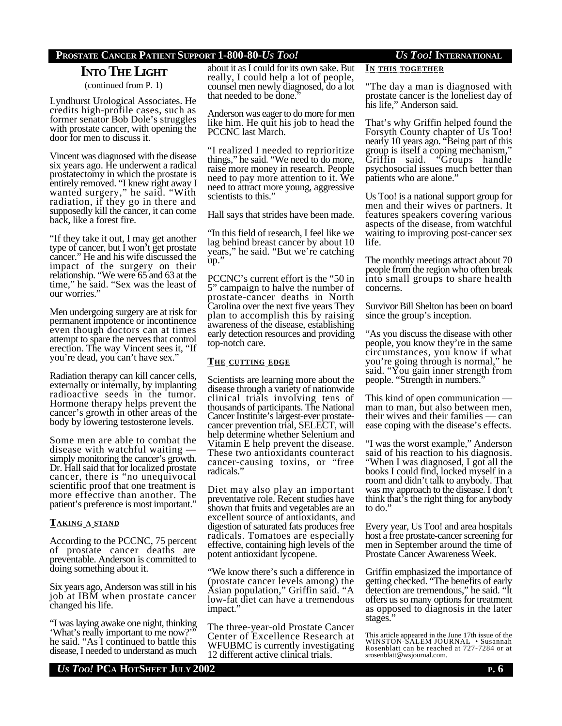## **PROSTATE CANCER PATIENT SUPPORT 1-800-80-***US TOO! US TOO!* **INTERNATIONAL**

# **INTO THE LIGHT**

(continued from P. 1)

Lyndhurst Urological Associates. He credits high-profile cases, such as former senator Bob Dole's struggles with prostate cancer, with opening the door for men to discuss it.

Vincent was diagnosed with the disease six years ago. He underwent a radical prostatectomy in which the prostate is entirely removed. "I knew right away I wanted surgery," he said. "With radiation, if they go in there and supposedly kill the cancer, it can come back, like a forest fire.

"If they take it out, I may get another type of cancer, but I won't get prostate cancer." He and his wife discussed the impact of the surgery on their relationship. "We were 65 and 63 at the time," he said. "Sex was the least of our worries."

Men undergoing surgery are at risk for permanent impotence or incontinence even though doctors can at times attempt to spare the nerves that control erection. The way Vincent sees it, "If you're dead, you can't have sex.'

Radiation therapy can kill cancer cells, externally or internally, by implanting radioactive seeds in the tumor. Hormone therapy helps prevent the cancer's growth in other areas of the body by lowering testosterone levels.

Some men are able to combat the disease with watchful waiting simply monitoring the cancer's growth. Dr. Hall said that for localized prostate cancer, there is "no unequivocal scientific proof that one treatment is more effective than another. The patient's preference is most important."

### **TAKING A STAND**

According to the PCCNC, 75 percent of prostate cancer deaths are preventable. Anderson is committed to doing something about it.

Six years ago, Anderson was still in his job at IBM when prostate cancer changed his life.

"I was laying awake one night, thinking 'What's really important to me now?'" he said. "As I continued to battle this disease, I needed to understand as much

about it as I could for its own sake. But really, I could help a lot of people, counsel men newly diagnosed, do a lot that needed to be done."

Anderson was eager to do more for men like him. He quit his job to head the PCCNC last March.

"I realized I needed to reprioritize things," he said. "We need to do more, raise more money in research. People need to pay more attention to it. We need to attract more young, aggressive scientists to this."

Hall says that strides have been made.

"In this field of research, I feel like we lag behind breast cancer by about 10 years," he said. "But we're catching up."

PCCNC's current effort is the "50 in 5" campaign to halve the number of prostate-cancer deaths in North Carolina over the next five years They plan to accomplish this by raising awareness of the disease, establishing early detection resources and providing top-notch care.

## **THE CUTTING EDGE**

Scientists are learning more about the disease through a variety of nationwide clinical trials involving tens of thousands of participants. The National Cancer Institute's largest-ever prostatecancer prevention trial, SELECT, will help determine whether Selenium and Vitamin E help prevent the disease. These two antioxidants counteract cancer-causing toxins, or "free radicals."

Diet may also play an important preventative role. Recent studies have shown that fruits and vegetables are an excellent source of antioxidants, and digestion of saturated fats produces free radicals. Tomatoes are especially effective, containing high levels of the potent antioxidant lycopene.

"We know there's such a difference in (prostate cancer levels among) the Asian population," Griffin said. "A low-fat diet can have a tremendous impact."

The three-year-old Prostate Cancer Center of Excellence Research at WFUBMC is currently investigating 12 different active clinical trials.

## **IN THIS TOGETHER**

"The day a man is diagnosed with prostate cancer is the loneliest day of his life," Anderson said.

That's why Griffin helped found the Forsyth County chapter of Us Too! nearly 10 years ago. "Being part of this group is itself a coping mechanism," Griffin said. "Groups handle psychosocial issues much better than patients who are alone."

Us Too! is a national support group for men and their wives or partners. It features speakers covering various aspects of the disease, from watchful waiting to improving post-cancer sex life.

The monthly meetings attract about 70 people from the region who often break into small groups to share health concerns.

Survivor Bill Shelton has been on board since the group's inception.

"As you discuss the disease with other people, you know they're in the same circumstances, you know if what you're going through is normal," he said. "You gain inner strength from people. "Strength in numbers."

This kind of open communication man to man, but also between men, their wives and their families — can ease coping with the disease's effects.

"I was the worst example," Anderson said of his reaction to his diagnosis. "When I was diagnosed, I got all the books I could find, locked myself in a room and didn't talk to anybody. That was my approach to the disease. I don't think that's the right thing for anybody to do."

Every year, Us Too! and area hospitals host a free prostate-cancer screening for men in September around the time of Prostate Cancer Awareness Week.

Griffin emphasized the importance of getting checked. "The benefits of early detection are tremendous," he said. "It offers us so many options for treatment as opposed to diagnosis in the later stages."

*US TOO!* **PCA HOTSHEET JULY 2002 P. 6**

This article appeared in the June 17th issue of the WINSTON-SALEM JOURNAL • Susannah Rosenblatt can be reached at 727-7284 or at srosenblatt@wsjournal.com.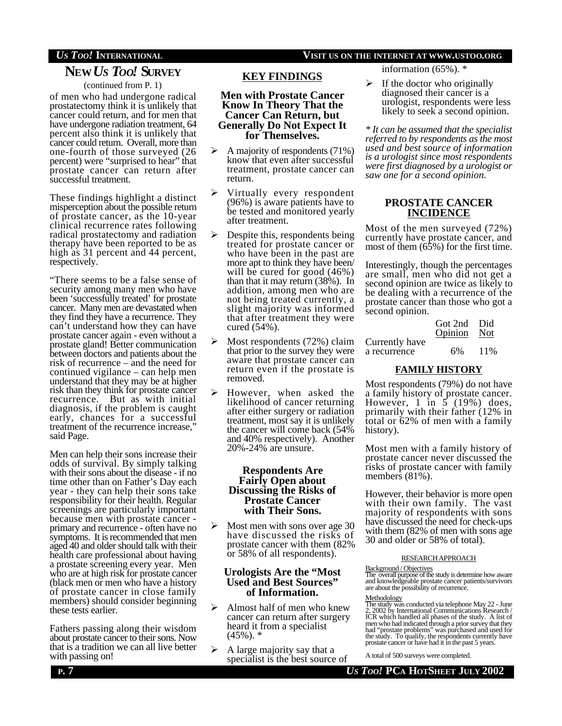# **NEW***US TOO!* **SURVEY**

(continued from P. 1)

of men who had undergone radical prostatectomy think it is unlikely that cancer could return, and for men that have undergone radiation treatment, 64 percent also think it is unlikely that cancer could return. Overall, more than one-fourth of those surveyed (26 percent) were "surprised to hear" that prostate cancer can return after successful treatment.

These findings highlight a distinct misperception about the possible return of prostate cancer, as the 10-year clinical recurrence rates following radical prostatectomy and radiation therapy have been reported to be as high as 31 percent and 44 percent, respectively.

"There seems to be a false sense of security among many men who have been 'successfully treated' for prostate cancer. Many men are devastated when they find they have a recurrence. They can't understand how they can have prostate cancer again - even without a prostate gland! Better communication between doctors and patients about the risk of recurrence – and the need for continued vigilance – can help men understand that they may be at higher risk than they think for prostate cancer recurrence. But as with initial diagnosis, if the problem is caught early, chances for a successful treatment of the recurrence increase," said Page.

Men can help their sons increase their odds of survival. By simply talking with their sons about the disease - if no time other than on Father's Day each year - they can help their sons take responsibility for their health. Regular screenings are particularly important because men with prostate cancer primary and recurrence - often have no symptoms. It is recommended that men aged 40 and older should talk with their health care professional about having a prostate screening every year. Men who are at high risk for prostate cancer (black men or men who have a history of prostate cancer in close family members) should consider beginning these tests earlier.

Fathers passing along their wisdom about prostate cancer to their sons. Now that is a tradition we can all live better with passing on!

# *US TOO!* **INTERNATIONAL VISIT US ON THE INTERNET AT WWW.USTOO.ORG**

information (65%). \*

**KEY FINDINGS**

**Men with Prostate Cancer Know In Theory That the Cancer Can Return, but Generally Do Not Expect It for Themselves.** ÿ A majority of respondents (71%) know that even after successful treatment, prostate cancer can

 $\triangleright$  Virtually every respondent (96%) is aware patients have to be tested and monitored yearly

 $\triangleright$  Despite this, respondents being treated for prostate cancer or who have been in the past are more apt to think they have been/ will be cured for good (46%) than that it may return (38%). In addition, among men who are not being treated currently, a slight majority was informed that after treatment they were

 $\triangleright$  Most respondents (72%) claim that prior to the survey they were aware that prostate cancer can return even if the prostate is

 $\triangleright$  However, when asked the likelihood of cancer returning after either surgery or radiation treatment, most say it is unlikely the cancer will come back (54% and 40% respectively). Another

**Respondents Are Fairly Open about Discussing the Risks of Prostate Cancer with Their Sons.**  $\triangleright$  Most men with sons over age 30 have discussed the risks of prostate cancer with them (82% or 58% of all respondents). **Urologists Are the "Most Used and Best Sources" of Information.** Almost half of men who knew cancer can return after surgery heard it from a specialist

20%-24% are unsure.

return.

after treatment.

cured (54%).

removed.

 $(45\%)$ .  $*$ 

 $\triangleright$  A large majority say that a specialist is the best source of  $\triangleright$  If the doctor who originally diagnosed their cancer is a urologist, respondents were less likely to seek a second opinion.

*\* It can be assumed that the specialist referred to by respondents as the most used and best source of information is a urologist since most respondents were first diagnosed by a urologist or saw one for a second opinion.*

## **PROSTATE CANCER INCIDENCE**

Most of the men surveyed (72%) currently have prostate cancer, and most of them (65%) for the first time.

Interestingly, though the percentages are small, men who did not get a second opinion are twice as likely to be dealing with a recurrence of the prostate cancer than those who got a second opinion.

|                | Got 2nd Did |      |
|----------------|-------------|------|
|                | Opinion Not |      |
| Currently have |             |      |
| a recurrence   | 6%          | 11\% |

### **FAMILY HISTORY**

Most respondents (79%) do not have a family history of prostate cancer. However,  $1 \text{ in } 5$  (19%) does, primarily with their father (12% in total or 62% of men with a family history).

Most men with a family history of prostate cancer never discussed the risks of prostate cancer with family members (81%).

However, their behavior is more open with their own family. The vast majority of respondents with sons have discussed the need for check-ups with them (82% of men with sons age 30 and older or 58% of total).

#### RESEARCHAPPROACH

Background / Objectives The overall purpose of the study is determine how aware and knowledgeable prostate cancer patients/survivors are about the possibility of recurrence.

#### Methodology

The study was conducted via telephone May 22 - June 2, 2002 by International Communications Research / ICR which handled all phases of the study. A list of men who had indicated through a prior survey that they had "prostate problems" was purchased and used for the study. To qualify, the respondents currently have prostate cancer or have had it in the past 5 years.

A total of 500 surveys were completed.